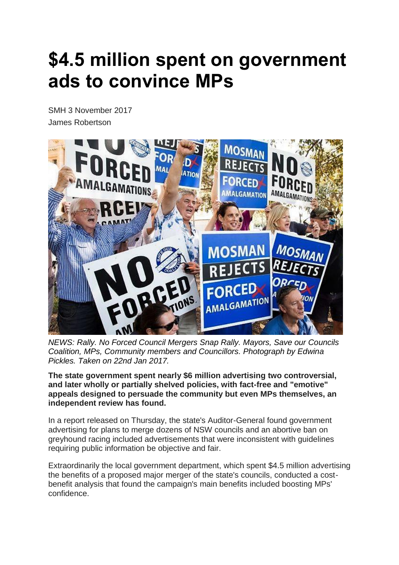## **\$4.5 million spent on government ads to convince MPs**

SMH 3 November 2017 James Robertson



*NEWS: Rally. No Forced Council Mergers Snap Rally. Mayors, Save our Councils Coalition, MPs, Community members and Councillors. Photograph by Edwina Pickles. Taken on 22nd Jan 2017.*

**The state government spent nearly \$6 million advertising two controversial, and later wholly or partially shelved policies, with fact-free and "emotive" appeals designed to persuade the community but even MPs themselves, an independent review has found.**

In a report released on Thursday, the state's Auditor-General found government advertising for plans to merge dozens of NSW councils and an abortive ban on greyhound racing included advertisements that were inconsistent with guidelines requiring public information be objective and fair.

Extraordinarily the local government department, which spent \$4.5 million advertising the benefits of a proposed major merger of the state's councils, conducted a costbenefit analysis that found the campaign's main benefits included boosting MPs' confidence.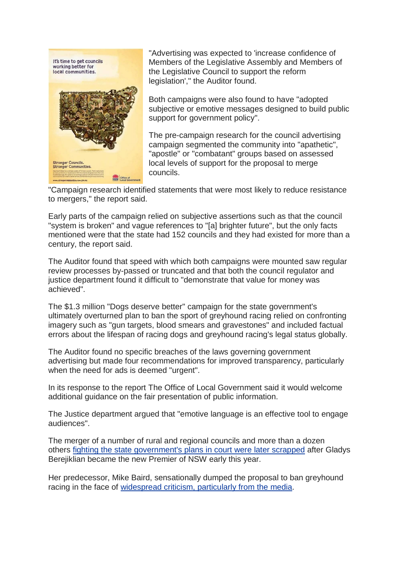

"Advertising was expected to 'increase confidence of Members of the Legislative Assembly and Members of the Legislative Council to support the reform legislation'," the Auditor found.

Both campaigns were also found to have "adopted subjective or emotive messages designed to build public support for government policy".

The pre-campaign research for the council advertising campaign segmented the community into "apathetic", "apostle" or "combatant" groups based on assessed local levels of support for the proposal to merge councils.

"Campaign research identified statements that were most likely to reduce resistance to mergers," the report said.

Early parts of the campaign relied on subjective assertions such as that the council "system is broken" and vague references to "[a] brighter future", but the only facts mentioned were that the state had 152 councils and they had existed for more than a century, the report said.

The Auditor found that speed with which both campaigns were mounted saw regular review processes by-passed or truncated and that both the council regulator and justice department found it difficult to "demonstrate that value for money was achieved".

The \$1.3 million "Dogs deserve better" campaign for the state government's ultimately overturned plan to ban the sport of greyhound racing relied on confronting imagery such as "gun targets, blood smears and gravestones" and included factual errors about the lifespan of racing dogs and greyhound racing's legal status globally.

The Auditor found no specific breaches of the laws governing government advertising but made four recommendations for improved transparency, particularly when the need for ads is deemed "urgent".

In its response to the report The Office of Local Government said it would welcome additional guidance on the fair presentation of public information.

The Justice department argued that "emotive language is an effective tool to engage audiences".

The merger of a number of rural and regional councils and more than a dozen others fighting the state [government's](http://www.smh.com.au/nsw/nsw-government-to-abandon-legal-battle-over-council-amalgamations-20170727-gxjqtl.html) plans in court were later scrapped after Gladys Berejiklian became the new Premier of NSW early this year.

Her predecessor, Mike Baird, sensationally dumped the proposal to ban greyhound racing in the face of [widespread](http://www.smh.com.au/nsw/you-are-gutless-mike-bairds-greyhound-backflip-lashed-on-social-media-20161011-grzh38.html) criticism, particularly from the media.